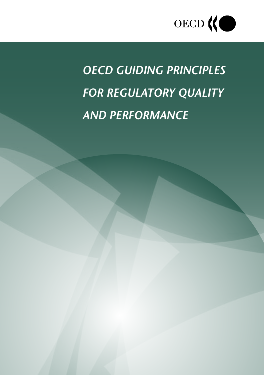

## *OECD GUIDING PRINCIPLES FOR REGULATORY QUALITY AND PERFORMANCE*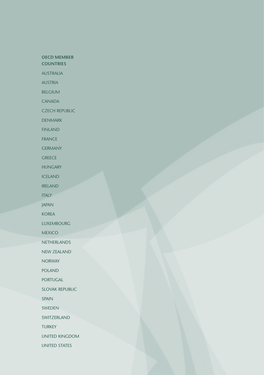## **OECD MEMBER**

**COUNTRIES**

AUSTRALIA

AUSTRIA

BELGIUM

CANADA

CZECH REPUBLIC

DENMARK

FINLAND

FRANCE

**GERMANY** 

**GREECE** 

HUNGARY

ICELAND

IRELAND

ITALY

JAPAN

KOREA

LUXEMBOURG

**MEXICO** 

**NETHERLANDS** 

NEW ZEALAND

**NORWAY** 

POLAND

PORTUGAL

SLOVAK REPUBLIC

SPAIN

SWEDEN

SWITZERLAND

**TURKEY** 

UNITED KINGDOM

UNITED STATES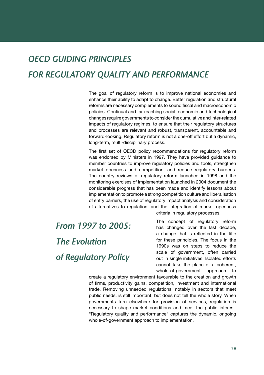## *OECD GUIDING PRINCIPLES FOR REGULATORY QUALITY AND PERFORMANCE*

The goal of regulatory reform is to improve national economies and enhance their ability to adapt to change. Better regulation and structural reforms are necessary complements to sound fiscal and macroeconomic policies. Continual and far-reaching social, economic and technological changes require governments to consider the cumulative and inter-related impacts of regulatory regimes, to ensure that their regulatory structures and processes are relevant and robust, transparent, accountable and forward-looking. Regulatory reform is not a one-off effort but a dynamic, long-term, multi-disciplinary process.

The first set of OECD policy recommendations for regulatory reform was endorsed by Ministers in 1997. They have provided guidance to member countries to improve regulatory policies and tools, strengthen market openness and competition, and reduce regulatory burdens. The country reviews of regulatory reform launched in 1998 and the monitoring exercises of implementation launched in 2004 document the considerable progress that has been made and identify lessons about implementation to promote a strong competition culture and liberalisation of entry barriers, the use of regulatory impact analysis and consideration of alternatives to regulation, and the integration of market openness criteria in regulatory processes.

*From 1997 to 2005: The Evolution of Regulatory Policy*

The concept of regulatory reform has changed over the last decade, a change that is reflected in the title for these principles. The focus in the 1990s was on steps to reduce the scale of government, often carried out in single initiatives. Isolated efforts cannot take the place of a coherent,

whole-of-government approach to

create a regulatory environment favourable to the creation and growth of firms, productivity gains, competition, investment and international trade. Removing unneeded regulations, notably in sectors that meet public needs, is still important, but does not tell the whole story. When governments turn elsewhere for provision of services, regulation is necessary to shape market conditions and meet the public interest. "Regulatory quality and performance" captures the dynamic, ongoing whole-of-government approach to implementation.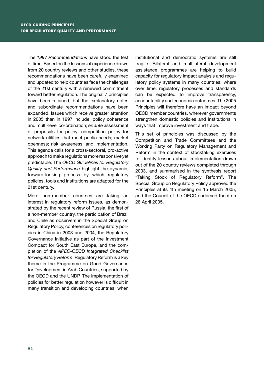The *1997 Recommendations* have stood the test of time. Based on the lessons of experience drawn from 20 country reviews and other studies, these recommendations have been carefully examined and updated to help countries face the challenges of the 21st century with a renewed commitment toward better regulation. The original 7 principles have been retained, but the explanatory notes and subordinate recommendations have been expanded. Issues which receive greater attention in 2005 than in 1997 include: policy coherence and multi-level co-ordination; *ex ante* assessment of proposals for policy; competition policy for network utilities that meet public needs; market openness; risk awareness; and implementation. This agenda calls for a cross-sectoral, pro-active approach to make regulations more responsive yet predictable. The *OECD Guidelines for Regulatory Quality and Performance* highlight the dynamic, forward-looking process by which regulatory policies, tools and institutions are adapted for the 21st century.

More non-member countries are taking an interest in regulatory reform issues, as demonstrated by the recent review of Russia, the first of a non-member country, the participation of Brazil and Chile as observers in the Special Group on Regulatory Policy, conferences on regulatory policies in China in 2003 and 2004, the Regulatory Governance Initiative as part of the Investment Compact for South East Europe, and the completion of the *APEC-OECD Integrated Checklist for Regulatory Reform*. Regulatory Reform is a key theme in the Programme on Good Governance for Development in Arab Countries, supported by the OECD and the UNDP. The implementation of policies for better regulation however is difficult in many transition and developing countries, when

institutional and democratic systems are still fragile. Bilateral and multilateral development assistance programmes are helping to build capacity for regulatory impact analysis and regulatory policy systems in many countries, where over time, regulatory processes and standards can be expected to improve transparency, accountability and economic outcomes. The 2005 Principles will therefore have an impact beyond OECD member countries, wherever governments strengthen domestic policies and institutions in ways that improve investment and trade.

This set of principles was discussed by the Competition and Trade Committees and the Working Party on Regulatory Management and Reform in the context of stocktaking exercises to identify lessons about implementation drawn out of the 20 country reviews completed through 2003, and summarised in the synthesis report "Taking Stock of Regulatory Reform". The Special Group on Regulatory Policy approved the Principles at its 4th meeting on 15 March 2005, and the Council of the OECD endorsed them on 28 April 2005.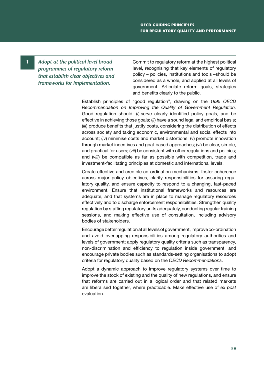*1 Adopt at the political level broad programmes of regulatory reform that establish clear objectives and frameworks for implementation.*

Commit to regulatory reform at the highest political level, recognising that key elements of regulatory policy – policies, institutions and tools –should be considered as a whole, and applied at all levels of government. Articulate reform goals, strategies and benefits clearly to the public.

Establish principles of "good regulation", drawing on the *1995 OECD Recommendation on Improving the Quality of Government Regulation.*  Good regulation should: (*i*) serve clearly identified policy goals, and be effective in achieving those goals; (*ii*) have a sound legal and empirical basis; (*iii*) produce benefits that justify costs, considering the distribution of effects across society and taking economic, environmental and social effects into account; (*iv*) minimise costs and market distortions; (*v*) promote innovation through market incentives and goal-based approaches; (*vi*) be clear, simple, and practical for users; (*vii*) be consistent with other regulations and policies; and (*viii*) be compatible as far as possible with competition, trade and investment-facilitating principles at domestic and international levels.

Create effective and credible co-ordination mechanisms, foster coherence across major policy objectives, clarify responsibilities for assuring regulatory quality, and ensure capacity to respond to a changing, fast-paced environment. Ensure that institutional frameworks and resources are adequate, and that systems are in place to manage regulatory resources effectively and to discharge enforcement responsibilities. Strengthen quality regulation by staffing regulatory units adequately, conducting regular training sessions, and making effective use of consultation, including advisory bodies of stakeholders.

Encourage better regulation at all levels of government, improve co-ordination and avoid overlapping responsibilities among regulatory authorities and levels of government; apply regulatory quality criteria such as transparency, non-discrimination and efficiency to regulation inside government, and encourage private bodies such as standards-setting organisations to adopt criteria for regulatory quality based on the *OECD Recommendations*.

Adopt a dynamic approach to improve regulatory systems over time to improve the stock of existing and the quality of new regulations, and ensure that reforms are carried out in a logical order and that related markets are liberalised together, where practicable. Make effective use of *ex post*  evaluation.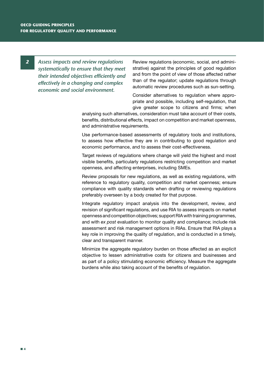*2 Assess impacts and review regulations systematically to ensure that they meet their intended objectives efficiently and effectively in a changing and complex economic and social environment.*

Review regulations (economic, social, and administrative) against the principles of good regulation and from the point of view of those affected rather than of the regulator; update regulations through automatic review procedures such as sun-setting.

Consider alternatives to regulation where appropriate and possible, including self-regulation, that give greater scope to citizens and firms; when

analysing such alternatives, consideration must take account of their costs, benefits, distributional effects, impact on competition and market openness, and administrative requirements.

Use performance-based assessments of regulatory tools and institutions, to assess how effective they are in contributing to good regulation and economic performance, and to assess their cost-effectiveness.

Target reviews of regulations where change will yield the highest and most visible benefits, particularly regulations restricting competition and market openness, and affecting enterprises, including SMEs.

Review proposals for new regulations, as well as existing regulations, with reference to regulatory quality, competition and market openness; ensure compliance with quality standards when drafting or reviewing regulations preferably overseen by a body created for that purpose.

Integrate regulatory impact analysis into the development, review, and revision of significant regulations, and use RIA to assess impacts on market openness and competition objectives; support RIA with training programmes, and with *ex post* evaluation to monitor quality and compliance; include risk assessment and risk management options in RIAs. Ensure that RIA plays a key role in improving the quality of regulation, and is conducted in a timely, clear and transparent manner.

Minimize the aggregate regulatory burden on those affected as an explicit objective to lessen administrative costs for citizens and businesses and as part of a policy stimulating economic efficiency. Measure the aggregate burdens while also taking account of the benefits of regulation.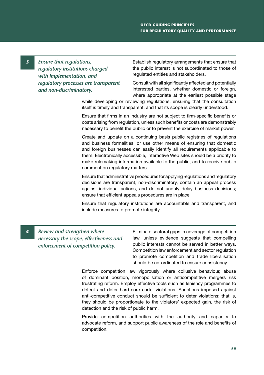*3 Ensure that regulations, regulatory institutions charged with implementation, and regulatory processes are transparent and non-discriminatory.*

Establish regulatory arrangements that ensure that the public interest is not subordinated to those of regulated entities and stakeholders.

Consult with all significantly affected and potentially interested parties, whether domestic or foreign, where appropriate at the earliest possible stage

while developing or reviewing regulations, ensuring that the consultation itself is timely and transparent, and that its scope is clearly understood.

Ensure that firms in an industry are not subject to firm-specific benefits or costs arising from regulation, unless such benefits or costs are demonstrably necessary to benefit the public or to prevent the exercise of market power.

Create and update on a continuing basis public registries of regulations and business formalities, or use other means of ensuring that domestic and foreign businesses can easily identify all requirements applicable to them. Electronically accessible, interactive Web sites should be a priority to make rulemaking information available to the public, and to receive public comment on regulatory matters.

Ensure that administrative procedures for applying regulations and regulatory decisions are transparent, non-discriminatory, contain an appeal process against individual actions, and do not unduly delay business decisions; ensure that efficient appeals procedures are in place.

Ensure that regulatory institutions are accountable and transparent, and include measures to promote integrity.

*4 Review and strengthen where necessary the scope, effectiveness and enforcement of competition policy.* 

Eliminate sectoral gaps in coverage of competition law, unless evidence suggests that compelling public interests cannot be served in better ways. Competition law enforcement and sector regulation to promote competition and trade liberalisation should be co-ordinated to ensure consistency.

Enforce competition law vigorously where collusive behaviour, abuse of dominant position, monopolisation or anticompetitive mergers risk frustrating reform. Employ effective tools such as leniency programmes to detect and deter hard-core cartel violations. Sanctions imposed against anti-competitive conduct should be sufficient to deter violations; that is, they should be proportionate to the violators' expected gain, the risk of detection and the risk of public harm.

Provide competition authorities with the authority and capacity to advocate reform, and support public awareness of the role and benefits of competition.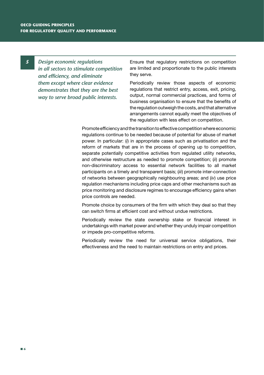*5 Design economic regulations in all sectors to stimulate competition and efficiency, and eliminate them except where clear evidence demonstrates that they are the best way to serve broad public interests.* 

Ensure that regulatory restrictions on competition are limited and proportionate to the public interests they serve.

Periodically review those aspects of economic regulations that restrict entry, access, exit, pricing, output, normal commercial practices, and forms of business organisation to ensure that the benefits of the regulation outweigh the costs, and that alternative arrangements cannot equally meet the objectives of the regulation with less effect on competition.

Promote efficiency and the transition to effective competition where economic regulations continue to be needed because of potential for abuse of market power. In particular: (*i*) in appropriate cases such as privatisation and the reform of markets that are in the process of opening up to competition, separate potentially competitive activities from regulated utility networks, and otherwise restructure as needed to promote competition; (*ii*) promote non-discriminatory access to essential network facilities to all market participants on a timely and transparent basis; (*iii*) promote inter-connection of networks between geographically neighbouring areas; and (*iv*) use price regulation mechanisms including price caps and other mechanisms such as price monitoring and disclosure regimes to encourage efficiency gains when price controls are needed.

Promote choice by consumers of the firm with which they deal so that they can switch firms at efficient cost and without undue restrictions.

Periodically review the state ownership stake or financial interest in undertakings with market power and whether they unduly impair competition or impede pro-competitive reforms.

Periodically review the need for universal service obligations, their effectiveness and the need to maintain restrictions on entry and prices.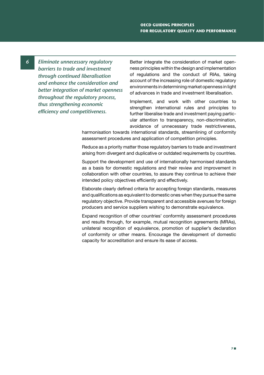*6 Eliminate unnecessary regulatory barriers to trade and investment through continued liberalisation and enhance the consideration and better integration of market openness throughout the regulatory process, thus strengthening economic efficiency and competitiveness.*

Better integrate the consideration of market openness principles within the design and implementation of regulations and the conduct of RIAs, taking account of the increasing role of domestic regulatory environments in determining market openness in light of advances in trade and investment liberalisation.

Implement, and work with other countries to strengthen international rules and principles to further liberalise trade and investment paying particular attention to transparency, non-discrimination, avoidance of unnecessary trade restrictiveness,

harmonisation towards international standards, streamlining of conformity assessment procedures and application of competition principles.

Reduce as a priority matter those regulatory barriers to trade and investment arising from divergent and duplicative or outdated requirements by countries.

Support the development and use of internationally harmonised standards as a basis for domestic regulations and their review and improvement in collaboration with other countries, to assure they continue to achieve their intended policy objectives efficiently and effectively.

Elaborate clearly defined criteria for accepting foreign standards, measures and qualifications as equivalent to domestic ones when they pursue the same regulatory objective. Provide transparent and accessible avenues for foreign producers and service suppliers wishing to demonstrate equivalence.

Expand recognition of other countries' conformity assessment procedures and results through, for example, mutual recognition agreements (MRAs), unilateral recognition of equivalence, promotion of supplier's declaration of conformity or other means. Encourage the development of domestic capacity for accreditation and ensure its ease of access.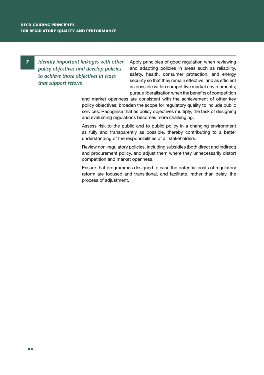*7 Identify important linkages with other policy objectives and develop policies to achieve those objectives in ways that support reform.* 

Apply principles of good regulation when reviewing and adapting policies in areas such as reliability, safety, health, consumer protection, and energy security so that they remain effective, and as efficient as possible within competitive market environments; pursue liberalisation when the benefits of competition

and market openness are consistent with the achievement of other key policy objectives; broaden the scope for regulatory quality to include public services. Recognise that as policy objectives multiply, the task of designing and evaluating regulations becomes more challenging.

Assess risk to the public and to public policy in a changing environment as fully and transparently as possible, thereby contributing to a better understanding of the responsibilities of all stakeholders.

Review non-regulatory policies, including subsidies (both direct and indirect) and procurement policy, and adjust them where they unnecessarily distort competition and market openness.

Ensure that programmes designed to ease the potential costs of regulatory reform are focused and transitional, and facilitate, rather than delay, the process of adjustment.